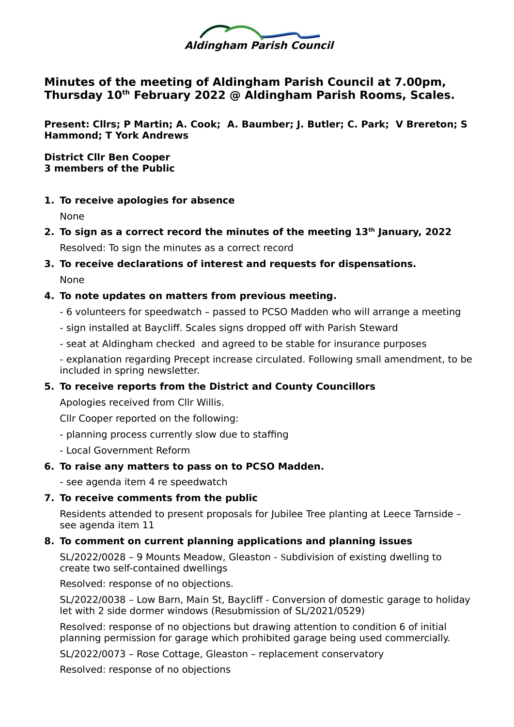

## **Minutes of the meeting of Aldingham Parish Council at 7.00pm, Thursday 10th February 2022 @ Aldingham Parish Rooms, Scales.**

**Present: Cllrs; P Martin; A. Cook; A. Baumber; J. Butler; C. Park; V Brereton; S Hammond; T York Andrews**

**District Cllr Ben Cooper 3 members of the Public** 

- **1. To receive apologies for absence** None
- **2. To sign as a correct record the minutes of the meeting 13th January, 2022** Resolved: To sign the minutes as a correct record
- **3. To receive declarations of interest and requests for dispensations.**  None

## **4. To note updates on matters from previous meeting.**

- 6 volunteers for speedwatch passed to PCSO Madden who will arrange a meeting
- sign installed at Baycliff. Scales signs dropped off with Parish Steward
- seat at Aldingham checked and agreed to be stable for insurance purposes

- explanation regarding Precept increase circulated. Following small amendment, to be included in spring newsletter.

## **5. To receive reports from the District and County Councillors**

Apologies received from Cllr Willis.

Cllr Cooper reported on the following:

- planning process currently slow due to staffing
- Local Government Reform

## **6. To raise any matters to pass on to PCSO Madden.**

- see agenda item 4 re speedwatch

## **7. To receive comments from the public**

Residents attended to present proposals for Jubilee Tree planting at Leece Tarnside – see agenda item 11

## **8. To comment on current planning applications and planning issues**

SL/2022/0028 – 9 Mounts Meadow, Gleaston - Subdivision of existing dwelling to create two self-contained dwellings

Resolved: response of no objections.

SL/2022/0038 – Low Barn, Main St, Baycliff - Conversion of domestic garage to holiday let with 2 side dormer windows (Resubmission of SL/2021/0529)

Resolved: response of no objections but drawing attention to condition 6 of initial planning permission for garage which prohibited garage being used commercially.

SL/2022/0073 – Rose Cottage, Gleaston – replacement conservatory

Resolved: response of no objections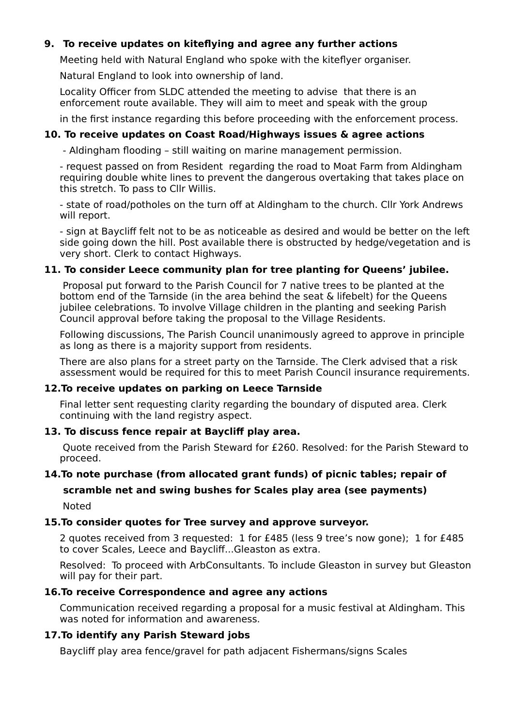## **9. To receive updates on kiteflying and agree any further actions**

Meeting held with Natural England who spoke with the kiteflyer organiser.

Natural England to look into ownership of land.

Locality Officer from SLDC attended the meeting to advise that there is an enforcement route available. They will aim to meet and speak with the group

in the first instance regarding this before proceeding with the enforcement process.

## **10. To receive updates on Coast Road/Highways issues & agree actions**

- Aldingham flooding – still waiting on marine management permission.

- request passed on from Resident regarding the road to Moat Farm from Aldingham requiring double white lines to prevent the dangerous overtaking that takes place on this stretch. To pass to Cllr Willis.

- state of road/potholes on the turn off at Aldingham to the church. Cllr York Andrews will report.

- sign at Baycliff felt not to be as noticeable as desired and would be better on the left side going down the hill. Post available there is obstructed by hedge/vegetation and is very short. Clerk to contact Highways.

### **11. To consider Leece community plan for tree planting for Queens' jubilee.**

 Proposal put forward to the Parish Council for 7 native trees to be planted at the bottom end of the Tarnside (in the area behind the seat & lifebelt) for the Queens jubilee celebrations. To involve Village children in the planting and seeking Parish Council approval before taking the proposal to the Village Residents.

Following discussions, The Parish Council unanimously agreed to approve in principle as long as there is a majority support from residents.

There are also plans for a street party on the Tarnside. The Clerk advised that a risk assessment would be required for this to meet Parish Council insurance requirements.

#### **12.To receive updates on parking on Leece Tarnside**

Final letter sent requesting clarity regarding the boundary of disputed area. Clerk continuing with the land registry aspect.

### **13. To discuss fence repair at Baycliff play area.**

 Quote received from the Parish Steward for £260. Resolved: for the Parish Steward to proceed.

#### **14.To note purchase (from allocated grant funds) of picnic tables; repair of**

## **scramble net and swing bushes for Scales play area (see payments)** Noted

## **15.To consider quotes for Tree survey and approve surveyor.**

2 quotes received from 3 requested: 1 for £485 (less 9 tree's now gone); 1 for £485 to cover Scales, Leece and Baycliff...Gleaston as extra.

Resolved: To proceed with ArbConsultants. To include Gleaston in survey but Gleaston will pay for their part.

#### **16.To receive Correspondence and agree any actions**

Communication received regarding a proposal for a music festival at Aldingham. This was noted for information and awareness.

#### **17.To identify any Parish Steward jobs**

Baycliff play area fence/gravel for path adjacent Fishermans/signs Scales